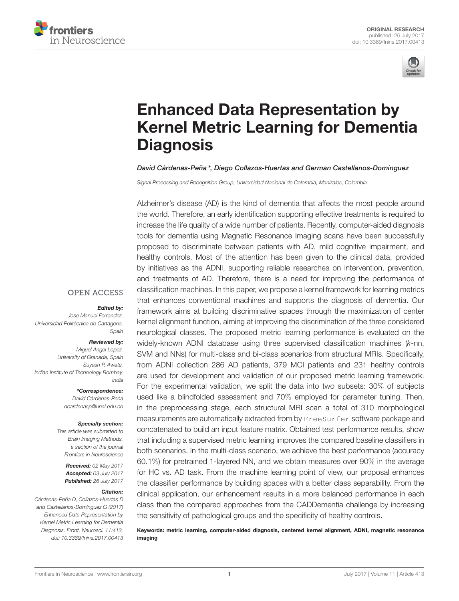



# Enhanced Data Representation by [Kernel Metric Learning for Dementia](http://journal.frontiersin.org/article/10.3389/fnins.2017.00413/abstract) **Diagnosis**

### [David Cárdenas-Peña](http://loop.frontiersin.org/people/436209/overview)\*, [Diego Collazos-Huertas](http://loop.frontiersin.org/people/459219/overview) and [German Castellanos-Dominguez](http://loop.frontiersin.org/people/92098/overview)

Signal Processing and Recognition Group, Universidad Nacional de Colombia, Manizales, Colombia

Alzheimer's disease (AD) is the kind of dementia that affects the most people around the world. Therefore, an early identification supporting effective treatments is required to increase the life quality of a wide number of patients. Recently, computer-aided diagnosis tools for dementia using Magnetic Resonance Imaging scans have been successfully proposed to discriminate between patients with AD, mild cognitive impairment, and healthy controls. Most of the attention has been given to the clinical data, provided by initiatives as the ADNI, supporting reliable researches on intervention, prevention, and treatments of AD. Therefore, there is a need for improving the performance of classification machines. In this paper, we propose a kernel framework for learning metrics that enhances conventional machines and supports the diagnosis of dementia. Our framework aims at building discriminative spaces through the maximization of center kernel alignment function, aiming at improving the discrimination of the three considered neurological classes. The proposed metric learning performance is evaluated on the widely-known ADNI database using three supervised classification machines (k-nn, SVM and NNs) for multi-class and bi-class scenarios from structural MRIs. Specifically, from ADNI collection 286 AD patients, 379 MCI patients and 231 healthy controls are used for development and validation of our proposed metric learning framework. For the experimental validation, we split the data into two subsets: 30% of subjects used like a blindfolded assessment and 70% employed for parameter tuning. Then, in the preprocessing stage, each structural MRI scan a total of 310 morphological measurements are automatically extracted from by FreeSurfer software package and concatenated to build an input feature matrix. Obtained test performance results, show that including a supervised metric learning improves the compared baseline classifiers in both scenarios. In the multi-class scenario, we achieve the best performance (accuracy 60.1%) for pretrained 1-layered NN, and we obtain measures over 90% in the average for HC vs. AD task. From the machine learning point of view, our proposal enhances the classifier performance by building spaces with a better class separability. From the clinical application, our enhancement results in a more balanced performance in each class than the compared approaches from the CADDementia challenge by increasing the sensitivity of pathological groups and the specificity of healthy controls.

Keywords: metric learning, computer-aided diagnosis, centered kernel alignment, ADNI, magnetic resonance imaging

### **OPEN ACCESS**

#### Edited by:

Jose Manuel Ferrandez, Universidad Politécnica de Cartagena, Spain

#### Reviewed by:

Miguel Angel Lopez, University of Granada, Spain Suyash P. Awate, Indian Institute of Technology Bombay, India

> \*Correspondence: David Cárdenas-Peña [dcardenasp@unal.edu.co](mailto:dcardenasp@unal.edu.co)

#### Specialty section:

This article was submitted to Brain Imaging Methods, a section of the journal Frontiers in Neuroscience

> Received: 02 May 2017 Accepted: 03 July 2017 Published: 26 July 2017

### Citation:

Cárdenas-Peña D, Collazos-Huertas D and Castellanos-Dominguez G (2017) Enhanced Data Representation by Kernel Metric Learning for Dementia Diagnosis. Front. Neurosci. 11:413. doi: [10.3389/fnins.2017.00413](https://doi.org/10.3389/fnins.2017.00413)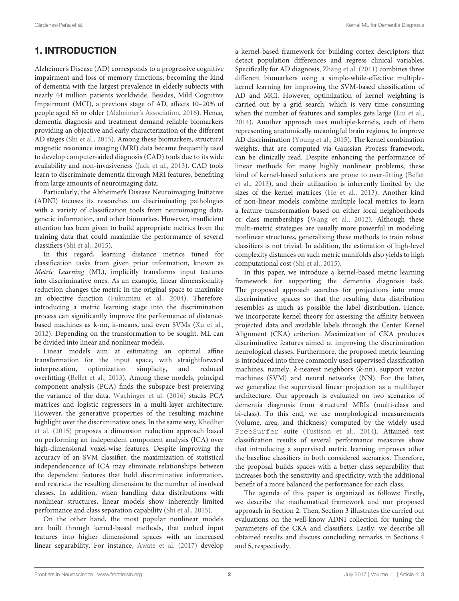# 1. INTRODUCTION

Alzheimer's Disease (AD) corresponds to a progressive cognitive impairment and loss of memory functions, becoming the kind of dementia with the largest prevalence in elderly subjects with nearly 44 million patients worldwide. Besides, Mild Cognitive Impairment (MCI), a previous stage of AD, affects 10–20% of people aged 65 or older [\(Alzheimer's Association, 2016\)](#page-8-0). Hence, dementia diagnosis and treatment demand reliable biomarkers providing an objective and early characterization of the different AD stages [\(Shi et al., 2015\)](#page-8-1). Among these biomarkers, structural magnetic resonance imaging (MRI) data became frequently used to develop computer-aided diagnosis (CAD) tools due to its wide availability and non-invasiveness [\(Jack et al., 2013\)](#page-8-2). CAD tools learn to discriminate dementia through MRI features, benefiting from large amounts of neuroimaging data.

Particularly, the Alzheimer's Disease Neuroimaging Initiative (ADNI) focuses its researches on discriminating pathologies with a variety of classification tools from neuroimaging data, genetic information, and other biomarkes. However, insufficient attention has been given to build appropriate metrics from the training data that could maximize the performance of several classifiers [\(Shi et al., 2015\)](#page-8-1).

In this regard, learning distance metrics tuned for classification tasks from given prior information, known as Metric Learning (ML), implicitly transforms input features into discriminative ones. As an example, linear dimensionality reduction changes the metric in the original space to maximize an objective function [\(Fukumizu et al., 2004\)](#page-8-3). Therefore, introducing a metric learning stage into the discrimination process can significantly improve the performance of distancebased machines as k-nn, k-means, and even SVMs [\(Xu et al.,](#page-8-4) [2012\)](#page-8-4). Depending on the transformation to be sought, ML can be divided into linear and nonlinear models.

Linear models aim at estimating an optimal affine transformation for the input space, with straightforward interpretation, optimization simplicity, and reduced overfitting [\(Bellet et al., 2013\)](#page-8-5). Among these models, principal component analysis (PCA) finds the subspace best preserving the variance of the data. [Wachinger et al. \(2016\)](#page-8-6) stacks PCA matrices and logistic regressors in a multi-layer architecture. However, the generative properties of the resulting machine highlight over the discriminative ones. In the same way, Khedher et al. [\(2015\)](#page-8-7) proposes a dimension reduction approach based on performing an independent component analysis (ICA) over high-dimensional voxel-wise features. Despite improving the accuracy of an SVM classifier, the maximization of statistical independencence of ICA may eliminate relationships between the dependent features that hold discriminative information, and restricts the resulting dimension to the number of involved classes. In addition, when handling data distributions with nonlinear structures, linear models show inherently limited performance and class separation capability [\(Shi et al., 2015\)](#page-8-1).

On the other hand, the most popular nonlinear models are built through kernel-based methods, that embed input features into higher dimensional spaces with an increased linear separability. For instance, [Awate et al. \(2017\)](#page-8-8) develop a kernel-based framework for building cortex descriptors that detect population differences and regress clinical variables. Specifically for AD diagnosis, [Zhang et al. \(2011\)](#page-8-9) combines three different biomarkers using a simple-while-effective multiplekernel learning for improving the SVM-based classification of AD and MCI. However, optimization of kernel weighting is carried out by a grid search, which is very time consuming when the number of features and samples gets large [\(Liu et al.,](#page-8-10) [2014\)](#page-8-10). Another approach uses multiple-kernels, each of them representing anatomically meaningful brain regions, to improve AD discrimination [\(Young et al., 2015\)](#page-8-11). The kernel combination weights, that are computed via Gaussian Process framework, can be clinically read. Despite enhancing the performance of linear methods for many highly nonlinear problems, these kind of kernel-based solutions are prone to over-fitting (Bellet et al., [2013\)](#page-8-5), and their utilization is inherently limited by the sizes of the kernel matrices [\(He et al., 2013\)](#page-8-12). Another kind of non-linear models combine multiple local metrics to learn a feature transformation based on either local neighborhoods or class memberships [\(Wang et al., 2012\)](#page-8-13). Although these multi-metric strategies are usually more powerful in modeling nonlinear structures, generalizing these methods to train robust classifiers is not trivial. In addition, the estimation of high-level complexity distances on such metric manifolds also yields to high computational cost [\(Shi et al., 2015\)](#page-8-1).

In this paper, we introduce a kernel-based metric learning framework for supporting the dementia diagnosis task. The proposed approach searches for projections into more discriminative spaces so that the resulting data distribution resembles as much as possible the label distribution. Hence, we incorporate kernel theory for assessing the affinity between projected data and available labels through the Center Kernel Alignment (CKA) criterion. Maximization of CKA produces discriminative features aimed at improving the discrimination neurological classes. Furthermore, the proposed metric learning is introduced into three commonly used supervised classification machines, namely, k-nearest neighbors (k-nn), support vector machines (SVM) and neural networks (NN). For the latter, we generalize the supervised linear projection as a multilayer architecture. Our approach is evaluated on two scenarios of dementia diagnosis from structural MRIs (multi-class and bi-class). To this end, we use morphological measurements (volume, area, and thickness) computed by the widely used FreeSurfer suite [\(Tustison et al., 2014\)](#page-8-14). Attained test classification results of several performance measures show that introducing a supervised metric learning improves other the baseline classifiers in both considered scenarios. Therefore, the proposal builds spaces with a better class separability that increases both the sensitivity and specificity, with the additional benefit of a more balanced the performance for each class.

The agenda of this paper is organized as follows: Firstly, we describe the mathematical framework and our proposed approach in Section 2. Then, Section 3 illustrates the carried out evaluations on the well-know ADNI collection for tuning the parameters of the CKA and classifiers. Lastly, we describe all obtained results and discuss concluding remarks in Sections 4 and 5, respectively.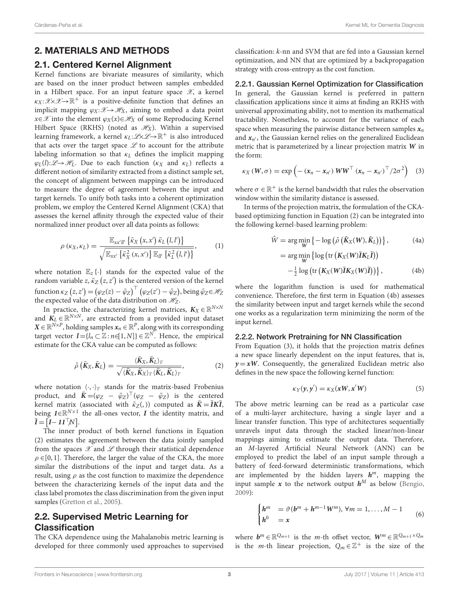# 2. MATERIALS AND METHODS

### 2.1. Centered Kernel Alignment

Kernel functions are bivariate measures of similarity, which are based on the inner product between samples embedded in a Hilbert space. For an input feature space  $\mathscr{X}$ , a kernel  $\kappa_X:\mathscr{X}\times \mathscr{X}\to \mathbb{R}^+$  is a positive-definite function that defines an implicit mapping  $\varphi_X: \mathcal{X} \to \mathcal{H}_X$ , aiming to embed a data point  $x \in \mathcal{X}$  into the element  $\varphi_X(x) \in \mathcal{H}_X$  of some Reproducing Kernel Hilbert Space (RKHS) (noted as  $\mathcal{H}_X$ ). Within a supervised learning framework, a kernel  $\kappa_L:\mathscr{L}{\!\times}\mathscr{L}{\!\to}\mathbb{R}^+$  is also introduced that acts over the target space  $L$  to account for the attribute labeling information so that  $\kappa_L$  defines the implicit mapping  $\varphi_L(l):\mathscr{L}\to\mathscr{H}_L$ . Due to each function  $(\kappa_X$  and  $\kappa_L)$  reflects a different notion of similarity extracted from a distinct sample set, the concept of alignment between mappings can be introduced to measure the degree of agreement between the input and target kernels. To unify both tasks into a coherent optimization problem, we employ the Centered Kernel Alignment (CKA) that assesses the kernel affinity through the expected value of their normalized inner product over all data points as follows:

$$
\rho\left(\kappa_X, \kappa_L\right) = \frac{\mathbb{E}_{xx'll'}\left\{\bar{\kappa}_X\left(x, x'\right) \bar{\kappa}_L\left(l, l'\right)\right\}}{\sqrt{\mathbb{E}_{xx'}\left\{\bar{\kappa}_X^2\left(x, x'\right)\right\} \mathbb{E}_{ll'}\left\{\bar{\kappa}_L^2\left(l, l'\right)\right\}}},\tag{1}
$$

where notation  $\mathbb{E}_z \{\cdot\}$  stands for the expected value of the random variable z,  $\bar{\kappa}_Z\left(z,\overline{z}'\right)$  is the centered version of the kernel function  $\kappa_Z\left(z,z'\right)=\left(\varphi_Z(z)-\bar\varphi_Z\right)^\top\left(\varphi_Z(z')-\bar\varphi_Z\right)$ , being  $\bar\varphi_Z{\in}\mathscr{H}_Z$ the expected value of the data distribution on  $\mathcal{H}_Z$ .

In practice, the characterizing kernel matrices,  $K_X \in \mathbb{R}^{N \times N}$ and  $K_L \in \mathbb{R}^{N \times N}$ , are extracted from a provided input dataset  $\textbf{X} \in \mathbb{R}^{N \times P}$ , holding samples  $\textbf{x}_n \in \mathbb{R}^P$ , along with its corresponding target vector  $\boldsymbol{l} = \{l_n \subset \mathbb{Z} : n \in [1, N]\} \in \mathbb{Z}^N$ . Hence, the empirical estimate for the CKA value can be computed as follows:

$$
\hat{\rho}\left(\bar{K}_{X}, \bar{K}_{L}\right) = \frac{\langle \bar{K}_{X}, \bar{K}_{L}\rangle_{\text{F}}}{\sqrt{\langle \bar{K}_{X}, \bar{K}_{X}\rangle_{\text{F}}\langle \bar{K}_{L}, \bar{K}_{L}\rangle_{\text{F}}}},\tag{2}
$$

where notation  $\langle \cdot, \cdot \rangle_F$  stands for the matrix-based Frobenius product, and  $\bar{\bm{K}} = (\varphi_Z - \bar{\varphi}_Z)^{\top} (\varphi_Z - \bar{\varphi}_Z)$  is the centered kernel matrix (associated with  $\bar{\kappa}_Z$ (, )) computed as  $\bar{K} = \bar{I}K\bar{I}$ , being  $I \in \mathbb{R}^{N \times 1}$  the all-ones vector,  $I$  the identity matrix, and  $\bar{\mathbf{I}} = [\mathbf{I} - \mathbf{1} \mathbf{1}^\top N].$ 

The inner product of both kernel functions in Equation (2) estimates the agreement between the data jointly sampled from the spaces  $X$  and  $X$  through their statistical dependence  $\rho \in [0, 1]$ . Therefore, the larger the value of the CKA, the more similar the distributions of the input and target data. As a result, using  $\rho$  as the cost function to maximize the dependence between the characterizing kernels of the input data and the class label promotes the class discrimination from the given input samples [\(Gretton et al., 2005\)](#page-8-15).

# 2.2. Supervised Metric Learning for Classification

The CKA dependence using the Mahalanobis metric learning is developed for three commonly used approaches to supervised classification: k-nn and SVM that are fed into a Gaussian kernel optimization, and NN that are optimized by a backpropagation strategy with cross-entropy as the cost function.

2.2.1. Gaussian Kernel Optimization for Classification In general, the Gaussian kernel is preferred in pattern classification applications since it aims at finding an RKHS with universal approximating ability, not to mention its mathematical tractability. Nonetheless, to account for the variance of each space when measuring the pairwise distance between samples  $x_n$ and  $x_{n'}$ , the Gaussian kernel relies on the generalized Euclidean metric that is parameterized by a linear projection matrix **W** in the form:

$$
\kappa_X \left( W, \sigma \right) = \exp \left( - \left( x_n - x_{n'} \right) W W^\top \left( x_n - x_{n'} \right)^\top / 2 \sigma^2 \right) \tag{3}
$$

where  $\sigma \in \mathbb{R}^+$  is the kernel bandwidth that rules the observation window within the similarity distance is assessed.

In terms of the projection matrix, the formulation of the CKAbased optimizing function in Equation (2) can be integrated into the following kernel-based learning problem:

$$
\hat{W} = \arg\min_{W} \left\{ -\log \left( \hat{\rho} \left( \bar{K}_X(W), \bar{K}_L \right) \right) \right\},\tag{4a}
$$
\n
$$
= \arg\min_{W} \left\{ \log \left( \text{tr} \left( K_X(W) \bar{I} K_L \bar{I} \right) \right) \right\}
$$

$$
-\frac{1}{2}\log\left(\text{tr}\left(K_X(W)\overline{I}K_X(W)\overline{I}\right)\right)\right\},\qquad(4b)
$$

where the logarithm function is used for mathematical convenience. Therefore, the first term in Equation (4b) assesses the similarity between input and target kernels while the second one works as a regularization term minimizing the norm of the input kernel.

#### 2.2.2. Network Pretraining for NN Classification

From Equation (3), it holds that the projection matrix defines a new space linearly dependent on the input features, that is,  $y = xW$ . Consequently, the generalized Euclidean metric also defines in the new space the following kernel function:

$$
\kappa_Y(y, y') = \kappa_X(xW, x'W) \tag{5}
$$

The above metric learning can be read as a particular case of a multi-layer architecture, having a single layer and a linear transfer function. This type of architectures sequentially unravels input data through the stacked linear/non-linear mappings aiming to estimate the output data. Therefore, an M-layered Artificial Neural Network (ANN) can be employed to predict the label of an input sample through a battery of feed-forward deterministic transformations, which are implemented by the hidden layers  $h^m$ , mapping the input sample  $x$  to the network output  $h^M$  as below [\(Bengio,](#page-8-16) [2009\)](#page-8-16):

$$
\begin{cases}\nh^m & = \vartheta(b^m + h^{m-1}W^m), \forall m = 1, ..., M - 1 \\
h^0 & = x\n\end{cases} (6)
$$

where  $b^m \in \mathbb{R}^{Q_{m+1}}$  is the *m*-th offset vector,  $W^m \in \mathbb{R}^{Q_{m+1} \times Q_m}$ is the *m*-th linear projection,  $Q_m \in \mathbb{Z}^+$  is the size of the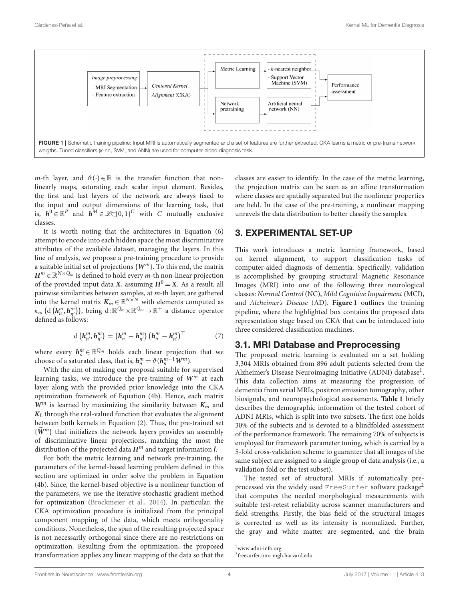

<span id="page-3-0"></span>m-th layer, and  $\vartheta(\cdot) \in \mathbb{R}$  is the transfer function that nonlinearly maps, saturating each scalar input element. Besides, the first and last layers of the network are always fixed to the input and output dimensions of the learning task, that is,  $h^0 \in \mathbb{R}^P$  and  $h^M \in \mathcal{L}\subset \{0,1\}^C$  with C mutually exclusive classes.

It is worth noting that the architectures in Equation (6) attempt to encode into each hidden space the most discriminative attributes of the available dataset, managing the layers. In this line of analysis, we propose a pre-training procedure to provide a suitable initial set of projections {**W**m}. To this end, the matrix  $\boldsymbol{H}^m \in \mathbb{R}^{N \times Q_m}$  is defined to hold every  $m$ -th non-linear projection of the provided input data **X**, assuming  $H^0 = X$ . As a result, all pairwise similarities between samples, at m-th layer, are gathered into the kernel matrix  $K_m \in \mathbb{R}^{N \times N}$  with elements computed as  $\kappa_m$   $(d(h_n^m, h_{n'}^m))$ , being  $d \colon \mathbb{R}^{Q_m} \times \mathbb{R}^{Q_m} \to \mathbb{R}^+$  a distance operator defined as follows:

$$
\mathbf{d}\left(\mathbf{h}_{n'}^{m}, \mathbf{h}_{n'}^{m}\right) = \left(\mathbf{h}_{n}^{m} - \mathbf{h}_{n'}^{m}\right) \left(\mathbf{h}_{n}^{m} - \mathbf{h}_{n'}^{m}\right)^{\top} \tag{7}
$$

where every  $h_n^m \in \mathbb{R}^{\mathbb{Q}_m}$  holds each linear projection that we choose of a saturated class, that is,  $h_n^m = \vartheta(h_n^{m-1}W^m)$ .

With the aim of making our proposal suitable for supervised learning tasks, we introduce the pre-training of  $W^m$  at each layer along with the provided prior knowledge into the CKA optimization framework of Equation (4b). Hence, each matrix  $W^m$  is learned by maximizing the similarity between  $K_m$  and  $K_L$  through the real-valued function that evaluates the alignment between both kernels in Equation (2). Thus, the pre-trained set  ${\widehat{W}}^m$ } that initializes the network layers provides an assembly of discriminative linear projections, matching the most the distribution of the projected data **H**<sup>m</sup> and target information **l**.

For both the metric learning and network pre-training, the parameters of the kernel-based learning problem defined in this section are optimized in order solve the problem in Equation (4b). Since, the kernel-based objective is a nonlinear function of the parameters, we use the iterative stochastic gradient method for optimization [\(Brockmeier et al., 2014\)](#page-8-17). In particular, the CKA optimization procedure is initialized from the principal component mapping of the data, which meets orthogonality conditions. Nonetheless, the span of the resulting projected space is not necessarily orthogonal since there are no restrictions on optimization. Resulting from the optimization, the proposed transformation applies any linear mapping of the data so that the classes are easier to identify. In the case of the metric learning, the projection matrix can be seen as an affine transformation where classes are spatially separated but the nonlinear properties are held. In the case of the pre-training, a nonlinear mapping unravels the data distribution to better classify the samples.

### 3. EXPERIMENTAL SET-UP

This work introduces a metric learning framework, based on kernel alignment, to support classification tasks of computer-aided diagnosis of dementia. Specifically, validation is accomplished by grouping structural Magnetic Resonance Images (MRI) into one of the following three neurological classes: Normal Control (NC), Mild Cognitive Impairment (MCI), and Alzheimer's Disease (AD). **[Figure 1](#page-3-0)** outlines the training pipeline, where the highlighted box contains the proposed data representation stage based on CKA that can be introduced into three considered classification machines.

### 3.1. MRI Database and Preprocessing

The proposed metric learning is evaluated on a set holding 3,304 MRIs obtained from 896 adult patients selected from the Alzheimer's Disease Neuroimaging Initiative (ADNI) database<sup>[1](#page-3-1)</sup>. This data collection aims at measuring the progression of dementia from serial MRIs, positron emission tomography, other biosignals, and neuropsychological assessments. **[Table 1](#page-4-0)** briefly describes the demographic information of the tested cohort of ADNI MRIs, which is split into two subsets. The first one holds 30% of the subjects and is devoted to a blindfolded assessment of the performance framework. The remaining 70% of subjects is employed for framework parameter tuning, which is carried by a 5-fold cross-validation scheme to guarantee that all images of the same subject are assigned to a single group of data analysis (i.e., a validation fold or the test subset).

The tested set of structural MRIs if automatically pre-processed via the widely used FreeSurfer software package<sup>[2](#page-3-2)</sup> that computes the needed morphological measurements with suitable test-retest reliability across scanner manufacturers and field strengths. Firstly, the bias field of the structural images is corrected as well as its intensity is normalized. Further, the gray and white matter are segmented, and the brain

<span id="page-3-1"></span><sup>1</sup>[www.adni-info.org](http://www.adni-info.org)

<span id="page-3-2"></span><sup>2</sup> [freesurfer.nmr.mgh.harvard.edu](http://freesurfer.nmr.mgh.harvard.edu)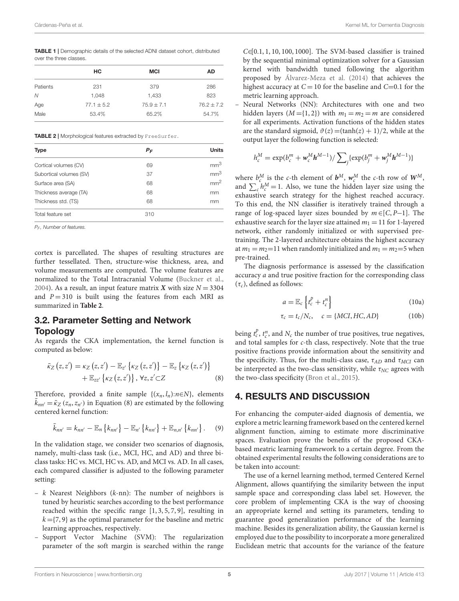<span id="page-4-0"></span>TABLE 1 | Demographic details of the selected ADNI dataset cohort, distributed over the three classes.

|          | HС             | <b>MCI</b>     | AD           |
|----------|----------------|----------------|--------------|
| Patients | 231            | 379            | 286          |
| N        | 1.048          | 1,433          | 823          |
| Age      | $77.1 \pm 5.2$ | $75.9 \pm 7.1$ | $76.2 + 7.2$ |
| Male     | 53.4%          | 65.2%          | 54.7%        |

<span id="page-4-1"></span>TABLE 2 | Morphological features extracted by FreeSurfer.

| <b>Type</b>             | $P_F$ | <b>Units</b>    |
|-------------------------|-------|-----------------|
| Cortical volumes (CV)   | 69    | mm <sup>3</sup> |
| Subortical volumes (SV) | 37    | mm <sup>3</sup> |
| Surface area (SA)       | 68    | mm <sup>2</sup> |
| Thickness average (TA)  | 68    | mm              |
| Thickness std. (TS)     | 68    | mm              |
| Total feature set       | 310   |                 |

 $P_F$ . Number of features.

cortex is parcellated. The shapes of resulting structures are further tessellated. Then, structure-wise thickness, area, and volume measurements are computed. The volume features are normalized to the Total Intracranial Volume [\(Buckner et al.,](#page-8-18) [2004\)](#page-8-18). As a result, an input feature matrix **X** with size  $N = 3304$ and  $P = 310$  is built using the features from each MRI as summarized in **[Table 2](#page-4-1)**.

# 3.2. Parameter Setting and Network **Topology**

As regards the CKA implementation, the kernel function is computed as below:

$$
\overline{\kappa}_{Z}\left(z,z'\right) = \kappa_{Z}\left(z,z'\right) - \mathbb{E}_{z'}\left\{\kappa_{Z}\left(z,z'\right)\right\} - \mathbb{E}_{z}\left\{\kappa_{Z}\left(z,z'\right)\right\} \n+ \mathbb{E}_{zz'}\left\{\kappa_{Z}\left(z,z'\right)\right\}, \forall z, z' \subset Z
$$
\n(8)

Therefore, provided a finite sample  $\{(x_n, l_n): n \in N\}$ , elements  $\bar{k}_{nn'} = \bar{k}_Z (z_n, z_{n'})$  in Equation (8) are estimated by the following centered kernel function:

$$
\bar{k}_{nn'} = k_{nn'} - \mathbb{E}_n \{ k_{nn'} \} - \mathbb{E}_{n'} \{ k_{nn'} \} + \mathbb{E}_{n,n'} \{ k_{nn'} \}.
$$
 (9)

In the validation stage, we consider two scenarios of diagnosis, namely, multi-class task (i.e., MCI, HC, and AD) and three biclass tasks: HC vs. MCI, HC vs. AD, and MCI vs. AD. In all cases, each compared classifier is adjusted to the following parameter setting:

- $k$  Nearest Neighbors ( $k$ -nn): The number of neighbors is tuned by heuristic searches according to the best performance reached within the specific range [1, 3, 5, 7, 9], resulting in  $k = \{7, 9\}$  as the optimal parameter for the baseline and metric learning approaches, respectively.
- Support Vector Machine (SVM): The regularization parameter of the soft margin is searched within the range

 $C \in [0.1, 1, 10, 100, 1000]$ . The SVM-based classifier is trained by the sequential minimal optimization solver for a Gaussian kernel with bandwidth tuned following the algorithm proposed by [Álvarez-Meza et al. \(2014\)](#page-8-19) that achieves the highest accuracy at  $C = 10$  for the baseline and  $C = 0.1$  for the metric learning approach.

– Neural Networks (NN): Architectures with one and two hidden layers ( $M = \{1, 2\}$ ) with  $m_1 = m_2 = m$  are considered for all experiments. Activation functions of the hidden states are the standard sigmoid,  $\vartheta(z) = (\tanh(z) + 1)/2$ , while at the output layer the following function is selected:

$$
h_c^M = \exp(b_c^m + \mathbf{w}_c^M \mathbf{h}^{M-1}) / \sum_j \{ \exp(b_j^m + \mathbf{w}_j^M \mathbf{h}^{M-1}) \}
$$

where  $b^M$  is the c-th element of  $b^M$ ,  $w_c^M$  the c-th row of  $W^M$ , and  $\sum_{c} h_c^M = 1$ . Also, we tune the hidden layer size using the exhaustive search strategy for the highest reached accuracy. To this end, the NN classifier is iteratively trained through a range of log-spaced layer sizes bounded by  $m \in [C, P-1]$ . The exhaustive search for the layer size attained  $m_1 = 11$  for 1-layered network, either randomly initialized or with supervised pretraining. The 2-layered architecture obtains the highest accuracy at  $m_1 = m_2 = 11$  when randomly initialized and  $m_1 = m_2 = 5$  when pre-trained.

The diagnosis performance is assessed by the classification accuracy a and true positive fraction for the corresponding class  $(\tau_c)$ , defined as follows:

$$
a = \mathbb{E}_c \left\{ t_c^p + t_c^n \right\} \tag{10a}
$$

$$
\tau_c = t_c/N_c, \quad c = \{MCI, HC, AD\} \tag{10b}
$$

being  $t_c^p$ ,  $t_c^n$ , and  $N_c$  the number of true positives, true negatives, and total samples for c-th class, respectively. Note that the true positive fractions provide information about the sensitivity and the specificity. Thus, for the multi-class case,  $\tau_{AD}$  and  $\tau_{MCI}$  can be interpreted as the two-class sensitivity, while  $\tau_{NC}$  agrees with the two-class specificity [\(Bron et al., 2015\)](#page-8-20).

# 4. RESULTS AND DISCUSSION

For enhancing the computer-aided diagnosis of dementia, we explore a metric learning framework based on the centered kernel alignment function, aiming to estimate more discriminative spaces. Evaluation prove the benefits of the proposed CKAbased meatric learning framework to a certain degree. From the obtained experimental results the following considerations are to be taken into account:

The use of a kernel learning method, termed Centered Kernel Alignment, allows quantifying the similarity between the input sample space and corresponding class label set. However, the core problem of implementing CKA is the way of choosing an appropriate kernel and setting its parameters, tending to guarantee good generalization performance of the learning machine. Besides its generalization ability, the Gaussian kernel is employed due to the possibility to incorporate a more generalized Euclidean metric that accounts for the variance of the feature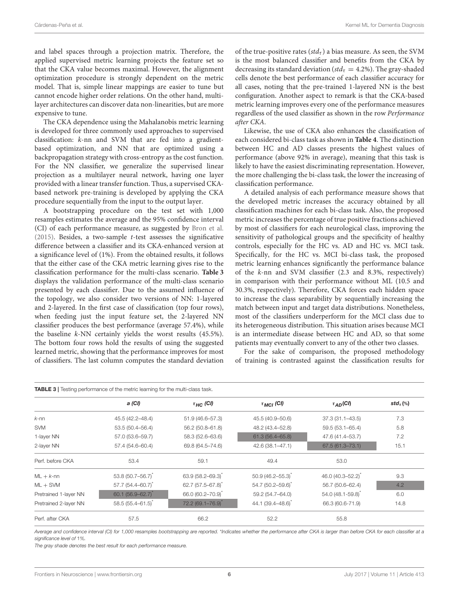and label spaces through a projection matrix. Therefore, the applied supervised metric learning projects the feature set so that the CKA value becomes maximal. However, the alignment optimization procedure is strongly dependent on the metric model. That is, simple linear mappings are easier to tune but cannot encode higher order relations. On the other hand, multilayer architectures can discover data non-linearities, but are more expensive to tune.

The CKA dependence using the Mahalanobis metric learning is developed for three commonly used approaches to supervised classification: k-nn and SVM that are fed into a gradientbased optimization, and NN that are optimized using a backpropagation strategy with cross-entropy as the cost function. For the NN classifier, we generalize the supervised linear projection as a multilayer neural network, having one layer provided with a linear transfer function. Thus, a supervised CKAbased network pre-training is developed by applying the CKA procedure sequentially from the input to the output layer.

A bootstrapping procedure on the test set with 1,000 resamples estimates the average and the 95% confidence interval (CI) of each performance measure, as suggested by [Bron et al.](#page-8-20) [\(2015\)](#page-8-20). Besides, a two-sample t-test assesses the significative difference between a classifier and its CKA-enhanced version at a significance level of (1%). From the obtained results, it follows that the either case of the CKA metric learning gives rise to the classification performance for the multi-class scenario. **[Table 3](#page-5-0)** displays the validation performance of the multi-class scenario presented by each classifier. Due to the assumed influence of the topology, we also consider two versions of NN: 1-layered and 2-layered. In the first case of classification (top four rows), when feeding just the input feature set, the 2-layered NN classifier produces the best performance (average 57.4%), while the baseline k-NN certainly yields the worst results (45.5%). The bottom four rows hold the results of using the suggested learned metric, showing that the performance improves for most of classifiers. The last column computes the standard deviation of the true-positive rates (std<sub>τ</sub>) a bias measure. As seen, the SVM is the most balanced classifier and benefits from the CKA by decreasing its standard deviation ( $std_\tau = 4.2\%$ ). The gray-shaded cells denote the best performance of each classifier accuracy for all cases, noting that the pre-trained 1-layered NN is the best configuration. Another aspect to remark is that the CKA-based metric learning improves every one of the performance measures regardless of the used classifier as shown in the row Performance after CKA.

Likewise, the use of CKA also enhances the classification of each considered bi-class task as shown in **[Table 4](#page-6-0)**. The distinction between HC and AD classes presents the highest values of performance (above 92% in average), meaning that this task is likely to have the easiest discriminating representation. However, the more challenging the bi-class task, the lower the increasing of classification performance.

A detailed analysis of each performance measure shows that the developed metric increases the accuracy obtained by all classification machines for each bi-class task. Also, the proposed metric increases the percentage of true positive fractions achieved by most of classifiers for each neurological class, improving the sensitivity of pathological groups and the specificity of healthy controls, especially for the HC vs. AD and HC vs. MCI task. Specifically, for the HC vs. MCI bi-class task, the proposed metric learning enhances significantly the performance balance of the k-nn and SVM classifier (2.3 and 8.3%, respectively) in comparison with their performance without ML (10.5 and 30.3%, respectively). Therefore, CKA forces each hidden space to increase the class separability by sequentially increasing the match between input and target data distributions. Nonetheless, most of the classifiers underperform for the MCI class due to its heterogeneous distribution. This situation arises because MCI is an intermediate disease between HC and AD, so that some patients may eventually convert to any of the other two classes.

For the sake of comparison, the proposed methodology of training is contrasted against the classification results for

<span id="page-5-0"></span>

|                       | a (CI)                  | $\tau$ <sub>HC</sub> (CI)     | $\tau_{MCI}$ (CI)   | $\tau_{AD}(CI)$     | $std_{\tau}$ (%) |
|-----------------------|-------------------------|-------------------------------|---------------------|---------------------|------------------|
| $k$ -nn               | 45.5 (42.2-48.4)        | 51.9 (46.6-57.3)              | 45.5 (40.9-50.6)    | $37.3(31.1 - 43.5)$ | 7.3              |
| <b>SVM</b>            | 53.5 (50.4-56.4)        | 56.2 (50.8-61.8)              | 48.2 (43.4-52.8)    | 59.5 (53.1-65.4)    | 5.8              |
| 1-layer NN            | 57.0 (53.6-59.7)        | 58.3 (52.6-63.6)              | $61.3(56.4 - 65.8)$ | 47.6 (41.4-53.7)    | 7.2              |
| 2-layer NN            | 57.4 (54.6-60.4)        | 69.8 (64.5-74.6)              | 42.6 (38.1-47.1)    | $67.5(61.3 - 73.1)$ | 15.1             |
| Perf. before CKA      | 53.4                    | 59.1                          | 49.4                | 53.0                |                  |
| $ML + k$ -nn          | $53.8(50.7 - 56.7)^{x}$ | 63.9 (58.2-69.3)              | $50.9(46.2 - 55.3)$ | 46.0 (40.3-52.2)    | 9.3              |
| $ML + SVM$            | $57.7(54.4 - 60.7)^*$   | $62.7(57.5 - 67.8)^{*}$       | 54.7 (50.2-59.6)*   | 56.7 (50.6-62.4)    | 4.2              |
| Pretrained 1-layer NN | $60.1(56.9 - 62.7)$     | 66.0 (60.2-70.9) <sup>*</sup> | 59.2 (54.7-64.0)    | 54.0 (48.1-59.8)    | 6.0              |
| Pretrained 2-layer NN | 58.5 (55.4-61.5)        | 72.2 (69.1-76.9)*             | 44.1 (39.4-48.6)    | 66.3 (60.6-71.9)    | 14.8             |
| Perf. after CKA       | 57.5                    | 66.2                          | 52.2                | 55.8                |                  |

Average and confidence interval (CI) for 1,000 resamples bootstrapping are reported. \*Indicates whether the performance after CKA is larger than before CKA for each classifier at a significance level of 1%.

The gray shade denotes the best result for each performance measure.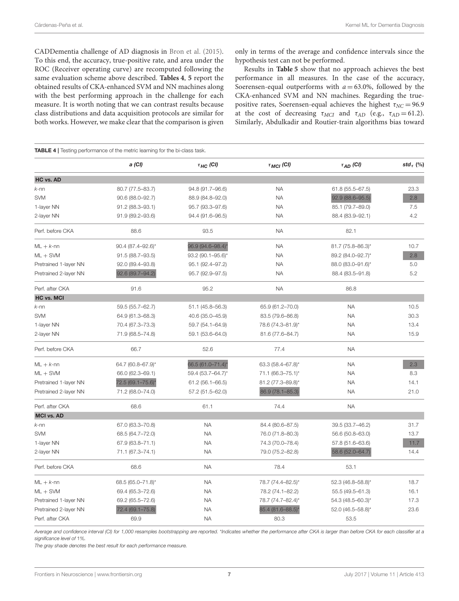CADDementia challenge of AD diagnosis in [Bron et al. \(2015\)](#page-8-20). To this end, the accuracy, true-positive rate, and area under the ROC (Receiver operating curve) are recomputed following the same evaluation scheme above described. **[Tables 4](#page-6-0)**, **[5](#page-7-0)** report the obtained results of CKA-enhanced SVM and NN machines along with the best performing approach in the challenge for each measure. It is worth noting that we can contrast results because class distributions and data acquisition protocols are similar for both works. However, we make clear that the comparison is given only in terms of the average and confidence intervals since the hypothesis test can not be performed.

Results in **[Table 5](#page-7-0)** show that no approach achieves the best performance in all measures. In the case of the accuracy, Soerensen-equal outperforms with  $a = 63.0\%$ , followed by the CKA-enhanced SVM and NN machines. Regarding the truepositive rates, Soerensen-equal achieves the highest  $\tau_{NC} = 96.9$ at the cost of decreasing  $\tau_{MCI}$  and  $\tau_{AD}$  (e.g.,  $\tau_{AD} = 61.2$ ). Similarly, Abdulkadir and Routier-train algorithms bias toward

<span id="page-6-0"></span>

| TABLE 4   Testing performance of the metric learning for the bi-class task. |                         |                           |                   |                     |              |  |  |
|-----------------------------------------------------------------------------|-------------------------|---------------------------|-------------------|---------------------|--------------|--|--|
|                                                                             | a (CI)                  | $\tau$ <sub>HC</sub> (CI) | $\tau_{MCI}$ (CI) | $\tau_{AD}$ (CI)    | std $_7$ (%) |  |  |
| HC vs. AD                                                                   |                         |                           |                   |                     |              |  |  |
| $k$ -nn                                                                     | 80.7 (77.5-83.7)        | 94.8 (91.7-96.6)          | <b>NA</b>         | $61.8(55.5 - 67.5)$ | 23.3         |  |  |
| <b>SVM</b>                                                                  | 90.6 (88.0-92.7)        | 88.9 (84.8-92.0)          | <b>NA</b>         | 92.9 (88.6-95.5)    | 2.8          |  |  |
| 1-layer NN                                                                  | 91.2 (88.3-93.1)        | 95.7 (93.3-97.6)          | <b>NA</b>         | 85.1 (79.7-89.0)    | 7.5          |  |  |
| 2-layer NN                                                                  | 91.9 (89.2-93.6)        | 94.4 (91.6-96.5)          | <b>NA</b>         | 88.4 (83.9-92.1)    | 4.2          |  |  |
| Perf. before CKA                                                            | 88.6                    | 93.5                      | <b>NA</b>         | 82.1                |              |  |  |
| $ML + k$ -nn                                                                | $90.4(87.4 - 92.6)^{*}$ | 96.9 (94.6-98.4)*         | <b>NA</b>         | 81.7 (75.8-86.3)*   | 10.7         |  |  |
| $ML + SVM$                                                                  | 91.5 (88.7-93.5)        | 93.2 (90.1-95.6)*         | <b>NA</b>         | 89.2 (84.0-92.7)*   | 2.8          |  |  |
| Pretrained 1-layer NN                                                       | 92.0 (89.4-93.8)        | 95.1 (92.4-97.2)          | <b>NA</b>         | 88.0 (83.0-91.6)*   | 5.0          |  |  |
| Pretrained 2-layer NN                                                       | 92.6 (89.7-94.2)        | 95.7 (92.9-97.5)          | <b>NA</b>         | 88.4 (83.5-91.8)    | 5.2          |  |  |
| Perf. after CKA                                                             | 91.6                    | 95.2                      | <b>NA</b>         | 86.8                |              |  |  |
| <b>HC vs. MCI</b>                                                           |                         |                           |                   |                     |              |  |  |
| $k$ -nn                                                                     | 59.5 (55.7-62.7)        | 51.1 (45.8-56.3)          | 65.9 (61.2-70.0)  | <b>NA</b>           | 10.5         |  |  |
| <b>SVM</b>                                                                  | 64.9 (61.3-68.3)        | 40.6 (35.0-45.9)          | 83.5 (79.6-86.8)  | <b>NA</b>           | 30.3         |  |  |
| 1-layer NN                                                                  | 70.4 (67.3-73.3)        | 59.7 (54.1-64.9)          | 78.6 (74.3-81.9)* | <b>NA</b>           | 13.4         |  |  |
| 2-layer NN                                                                  | 71.9 (68.5-74.8)        | 59.1 (53.6-64.0)          | 81.6 (77.6-84.7)  | <b>NA</b>           | 15.9         |  |  |
| Perf. before CKA                                                            | 66.7                    | 52.6                      | 77.4              | <b>NA</b>           |              |  |  |
| $ML + k$ -nn                                                                | 64.7 (60.8-67.9)*       | 66.5 (61.0-71.4)*         | 63.3 (58.4-67.8)* | <b>NA</b>           | 2.3          |  |  |
| $ML + SVM$                                                                  | 66.0 (62.3-69.1)        | 59.4 (53.7-64.7)*         | 71.1 (66.3-75.1)* | <b>NA</b>           | 8.3          |  |  |
| Pretrained 1-layer NN                                                       | 72.5 (69.1-75.6)*       | 61.2 (56.1-66.5)          | 81.2 (77.3-89.8)* | <b>NA</b>           | 14.1         |  |  |
| Pretrained 2-layer NN                                                       | 71.2 (68.0-74.0)        | 57.2 (51.5-62.0)          | 86.9 (78.1-85.3)  | <b>NA</b>           | 21.0         |  |  |
| Perf. after CKA                                                             | 68.6                    | 61.1                      | 74.4              | <b>NA</b>           |              |  |  |
| <b>MCI vs. AD</b>                                                           |                         |                           |                   |                     |              |  |  |
| $k$ -nn                                                                     | 67.0 (63.3-70.8)        | <b>NA</b>                 | 84.4 (80.6-87.5)  | 39.5 (33.7-46.2)    | 31.7         |  |  |
| <b>SVM</b>                                                                  | 68.5 (64.7-72.0)        | <b>NA</b>                 | 76.0 (71.8-80.3)  | 56.6 (50.8-63.0)    | 13.7         |  |  |
| 1-layer NN                                                                  | 67.9 (63.8-71.1)        | <b>NA</b>                 | 74.3 (70.0-78.4)  | 57.8 (51.6-63.6)    | 11.7         |  |  |
| 2-layer NN                                                                  | 71.1 (67.3-74.1)        | <b>NA</b>                 | 79.0 (75.2-82.8)  | 58.6 (52.0-64.7)    | 14.4         |  |  |
| Perf. before CKA                                                            | 68.6                    | <b>NA</b>                 | 78.4              | 53.1                |              |  |  |
| $ML + k$ -nn                                                                | 68.5 (65.0-71.8)*       | <b>NA</b>                 | 78.7 (74.4-82.5)* | 52.3 (46.8-58.8)*   | 18.7         |  |  |
| $ML + SVM$                                                                  | 69.4 (65.3-72.6)        | <b>NA</b>                 | 78.2 (74.1-82.2)  | 55.5 (49.5-61.3)    | 16.1         |  |  |
| Pretrained 1-layer NN                                                       | 69.2 (65.5-72.6)        | NA.                       | 78.7 (74.7-82.4)* | 54.3 (48.5-60.3)*   | 17.3         |  |  |
| Pretrained 2-layer NN                                                       | 72.4 (69.1-75.8)        | NA.                       | 85.4 (81.6-88.5)* | 52.0 (46.5-58.8)*   | 23.6         |  |  |
| Perf. after CKA                                                             | 69.9                    | <b>NA</b>                 | 80.3              | 53.5                |              |  |  |

Average and confidence interval (CI) for 1,000 resamples bootstrapping are reported. \*Indicates whether the performance after CKA is larger than before CKA for each classifier at a significance level of 1%.

The gray shade denotes the best result for each performance measure.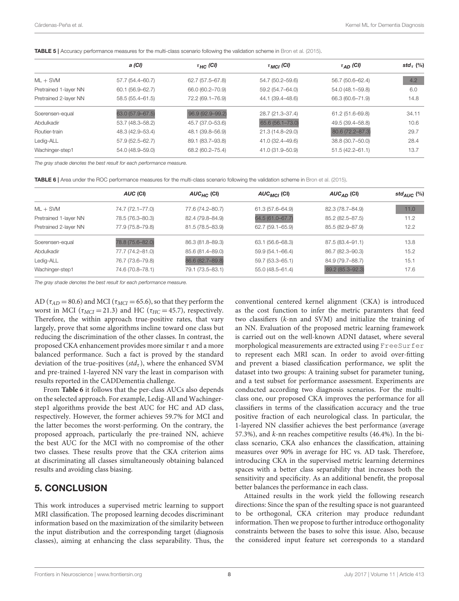<span id="page-7-0"></span>

|  | TABLE 5   Accuracy performance measures for the multi-class scenario following the validation scheme in Bron et al. (2015). |  |  |  |  |  |  |
|--|-----------------------------------------------------------------------------------------------------------------------------|--|--|--|--|--|--|
|  |                                                                                                                             |  |  |  |  |  |  |

|                       | a (CI)           | $\tau$ <sub>HC</sub> (CI) | $\tau_{MCI}$ (CI) | $\tau_{AD}$ (CI)    | std $_7$ (%) |
|-----------------------|------------------|---------------------------|-------------------|---------------------|--------------|
| $ML + SVM$            | 57.7 (54.4-60.7) | $62.7(57.5 - 67.8)$       | 54.7 (50.2-59.6)  | 56.7 (50.6-62.4)    | 4.2          |
| Pretrained 1-layer NN | 60.1 (56.9–62.7) | 66.0 (60.2-70.9)          | 59.2 (54.7-64.0)  | 54.0 (48.1-59.8)    | 6.0          |
| Pretrained 2-layer NN | 58.5 (55.4-61.5) | 72.2 (69.1-76.9)          | 44.1 (39.4-48.6)  | 66.3 (60.6-71.9)    | 14.8         |
| Soerensen-equal       | 63.0 (57.9-67.5) | 96.9 (92.9-99.2)          | 28.7 (21.3-37.4)  | 61.2 (51.6-69.8)    | 34.11        |
| Abdulkadir            | 53.7 (48.3-58.2) | 45.7 (37.0-53.6)          | 65.6 (56.1-73.0)  | 49.5 (39.4-58.8)    | 10.6         |
| Routier-train         | 48.3 (42.9-53.4) | 48.1 (39.8-56.9)          | 21.3 (14.8-29.0)  | 80.6 (72.2-87.3)    | 29.7         |
| Ledig-ALL             | 57.9 (52.5-62.7) | 89.1 (83.7-93.8)          | 41.0 (32.4-49.6)  | 38.8 (30.7-50.0)    | 28.4         |
| Wachinger-step1       | 54.0 (48.9-59.0) | 68.2 (60.2-75.4)          | 41.0 (31.9-50.9)  | $51.5(42.2 - 61.1)$ | 13.7         |

The gray shade denotes the best result for each performance measure.

<span id="page-7-1"></span>TABLE 6 | Area under the ROC performance measures for the multi-class scenario following the validation scheme in [Bron et al. \(2015\)](#page-8-20).

|                       | AUC (CI)         | $AUC_{HC}$ (CI)  | AUC <sub>MCI</sub> (CI) | $AUC_{AD}$ (CI)  | std <sub>AUC</sub> $(\%)$ |
|-----------------------|------------------|------------------|-------------------------|------------------|---------------------------|
| $ML + SVM$            | 74.7 (72.1-77.0) | 77.6 (74.2-80.7) | 61.3 (57.6-64.9)        | 82.3 (78.7-84.9) | 11.0                      |
| Pretrained 1-layer NN | 78.5 (76.3-80.3) | 82.4 (79.8-84.9) | 64.5 (61.0-67.7)        | 85.2 (82.5-87.5) | 11.2                      |
| Pretrained 2-layer NN | 77.9 (75.8-79.8) | 81.5 (78.5-83.9) | 62.7 (59.1-65.9)        | 85.5 (82.9-87.9) | 12.2                      |
| Soerensen-equal       | 78.8 (75.6-82.0) | 86.3 (81.8-89.3) | 63.1 (56.6–68.3)        | 87.5 (83.4-91.1) | 13.8                      |
| Abdulkadir            | 77.7 (74.2-81.0) | 85.6 (81.4-89.0) | 59.9 (54.1-66.4)        | 86.7 (82.3-90.3) | 15.2                      |
| Ledig-ALL             | 76.7 (73.6-79.8) | 86.6 (82.7-89.8) | 59.7 (53.3–65.1)        | 84.9 (79.7-88.7) | 15.1                      |
| Wachinger-step1       | 74.6 (70.8-78.1) | 79.1 (73.5-83.1) | $55.0(48.5 - 61.4)$     | 89.2 (85.3-92.3) | 17.6                      |
|                       |                  |                  |                         |                  |                           |

The gray shade denotes the best result for each performance measure.

AD ( $\tau_{AD}$  = 80.6) and MCI ( $\tau_{MCI}$  = 65.6), so that they perform the worst in MCI ( $\tau_{MCI} = 21.3$ ) and HC ( $\tau_{HC} = 45.7$ ), respectively. Therefore, the within approach true-positive rates, that vary largely, prove that some algorithms incline toward one class but reducing the discrimination of the other classes. In contrast, the proposed CKA enhancement provides more similar  $\tau$  and a more balanced performance. Such a fact is proved by the standard deviation of the true-positives ( $std<sub>\tau</sub>$ ), where the enhanced SVM and pre-trained 1-layered NN vary the least in comparison with results reported in the CADDementia challenge.

From **[Table 6](#page-7-1)** it follows that the per-class AUCs also depends on the selected approach. For example, Ledig-All and Wachingerstep1 algorithms provide the best AUC for HC and AD class, respectively. However, the former achieves 59.7% for MCI and the latter becomes the worst-performing. On the contrary, the proposed approach, particularly the pre-trained NN, achieve the best AUC for the MCI with no compromise of the other two classes. These results prove that the CKA criterion aims at discriminating all classes simultaneously obtaining balanced results and avoiding class biasing.

# 5. CONCLUSION

This work introduces a supervised metric learning to support MRI classification. The proposed learning decodes discriminant information based on the maximization of the similarity between the input distribution and the corresponding target (diagnosis classes), aiming at enhancing the class separability. Thus, the conventional centered kernel alignment (CKA) is introduced as the cost function to infer the metric paramters that feed two classifiers (k-nn and SVM) and initialize the training of an NN. Evaluation of the proposed metric learning framework is carried out on the well-known ADNI dataset, where several morphological measurements are extracted using FreeSurfer to represent each MRI scan. In order to avoid over-fitting and prevent a biased classification performance, we split the dataset into two groups: A training subset for parameter tuning, and a test subset for performance assessment. Experiments are conducted according two diagnosis scenarios. For the multiclass one, our proposed CKA improves the performance for all classifiers in terms of the classification accuracy and the true positive fraction of each neurological class. In particular, the 1-layered NN classifier achieves the best performance (average 57.3%), and k-nn reaches competitive results (46.4%). In the biclass scenario, CKA also enhances the classification, attaining measures over 90% in average for HC vs. AD task. Therefore, introducing CKA in the supervised metric learning determines spaces with a better class separability that increases both the sensitivity and specificity. As an additional benefit, the proposal better balances the performance in each class.

Attained results in the work yield the following research directions: Since the span of the resulting space is not guaranteed to be orthogonal, CKA criterion may produce redundant information. Then we propose to further introduce orthogonality constraints between the bases to solve this issue. Also, because the considered input feature set corresponds to a standard